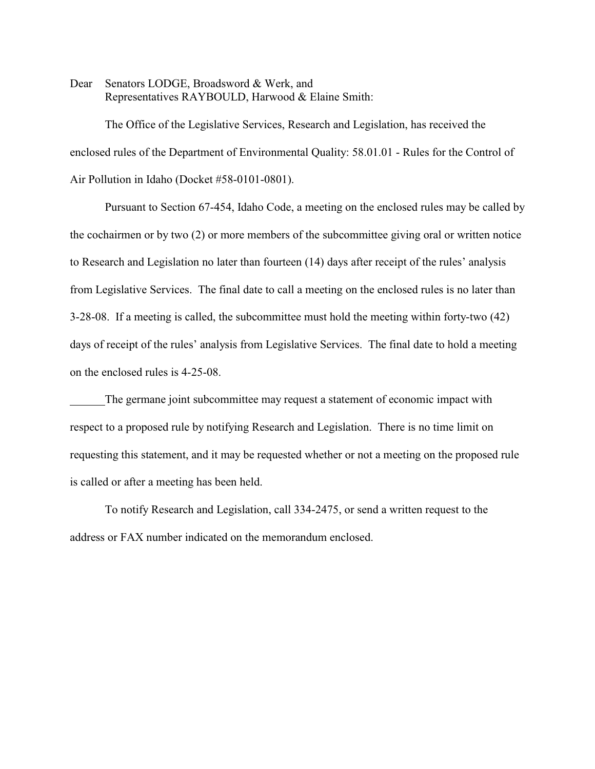Dear Senators LODGE, Broadsword & Werk, and Representatives RAYBOULD, Harwood & Elaine Smith:

The Office of the Legislative Services, Research and Legislation, has received the enclosed rules of the Department of Environmental Quality: 58.01.01 - Rules for the Control of Air Pollution in Idaho (Docket #58-0101-0801).

Pursuant to Section 67-454, Idaho Code, a meeting on the enclosed rules may be called by the cochairmen or by two (2) or more members of the subcommittee giving oral or written notice to Research and Legislation no later than fourteen (14) days after receipt of the rules' analysis from Legislative Services. The final date to call a meeting on the enclosed rules is no later than 3-28-08. If a meeting is called, the subcommittee must hold the meeting within forty-two (42) days of receipt of the rules' analysis from Legislative Services. The final date to hold a meeting on the enclosed rules is 4-25-08.

The germane joint subcommittee may request a statement of economic impact with respect to a proposed rule by notifying Research and Legislation. There is no time limit on requesting this statement, and it may be requested whether or not a meeting on the proposed rule is called or after a meeting has been held.

To notify Research and Legislation, call 334-2475, or send a written request to the address or FAX number indicated on the memorandum enclosed.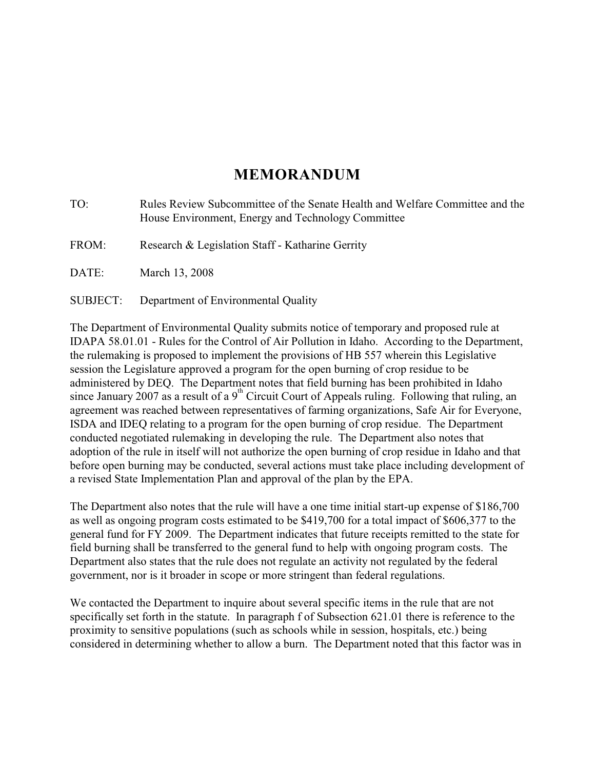# **MEMORANDUM**

| TO:      | Rules Review Subcommittee of the Senate Health and Welfare Committee and the<br>House Environment, Energy and Technology Committee |
|----------|------------------------------------------------------------------------------------------------------------------------------------|
| FROM:    | Research & Legislation Staff - Katharine Gerrity                                                                                   |
| DATE:    | March 13, 2008                                                                                                                     |
| SUBJECT: | Department of Environmental Quality                                                                                                |

The Department of Environmental Quality submits notice of temporary and proposed rule at IDAPA 58.01.01 - Rules for the Control of Air Pollution in Idaho. According to the Department, the rulemaking is proposed to implement the provisions of HB 557 wherein this Legislative session the Legislature approved a program for the open burning of crop residue to be administered by DEQ. The Department notes that field burning has been prohibited in Idaho since January 2007 as a result of a 9<sup>th</sup> Circuit Court of Appeals ruling. Following that ruling, an agreement was reached between representatives of farming organizations, Safe Air for Everyone, ISDA and IDEQ relating to a program for the open burning of crop residue. The Department conducted negotiated rulemaking in developing the rule. The Department also notes that adoption of the rule in itself will not authorize the open burning of crop residue in Idaho and that before open burning may be conducted, several actions must take place including development of a revised State Implementation Plan and approval of the plan by the EPA.

The Department also notes that the rule will have a one time initial start-up expense of \$186,700 as well as ongoing program costs estimated to be \$419,700 for a total impact of \$606,377 to the general fund for FY 2009. The Department indicates that future receipts remitted to the state for field burning shall be transferred to the general fund to help with ongoing program costs. The Department also states that the rule does not regulate an activity not regulated by the federal government, nor is it broader in scope or more stringent than federal regulations.

We contacted the Department to inquire about several specific items in the rule that are not specifically set forth in the statute. In paragraph f of Subsection 621.01 there is reference to the proximity to sensitive populations (such as schools while in session, hospitals, etc.) being considered in determining whether to allow a burn. The Department noted that this factor was in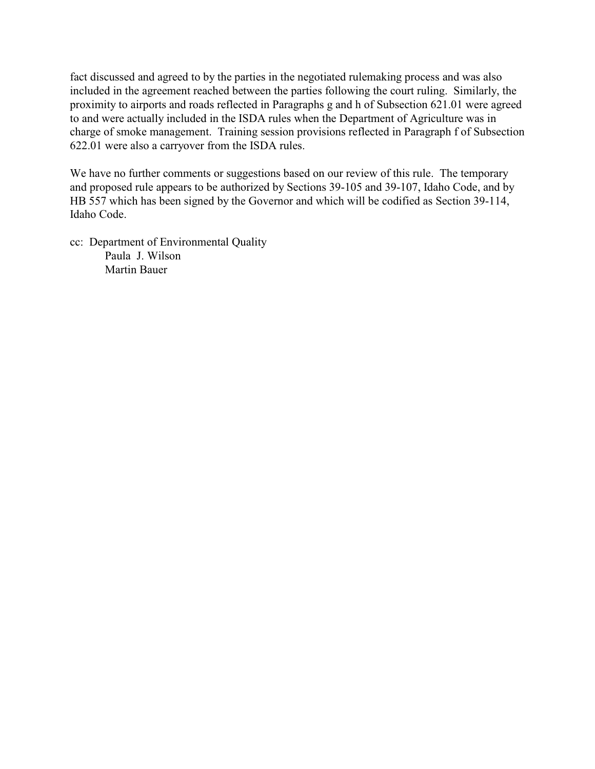fact discussed and agreed to by the parties in the negotiated rulemaking process and was also included in the agreement reached between the parties following the court ruling. Similarly, the proximity to airports and roads reflected in Paragraphs g and h of Subsection 621.01 were agreed to and were actually included in the ISDA rules when the Department of Agriculture was in charge of smoke management. Training session provisions reflected in Paragraph f of Subsection 622.01 were also a carryover from the ISDA rules.

We have no further comments or suggestions based on our review of this rule. The temporary and proposed rule appears to be authorized by Sections 39-105 and 39-107, Idaho Code, and by HB 557 which has been signed by the Governor and which will be codified as Section 39-114, Idaho Code.

cc: Department of Environmental Quality Paula J. Wilson Martin Bauer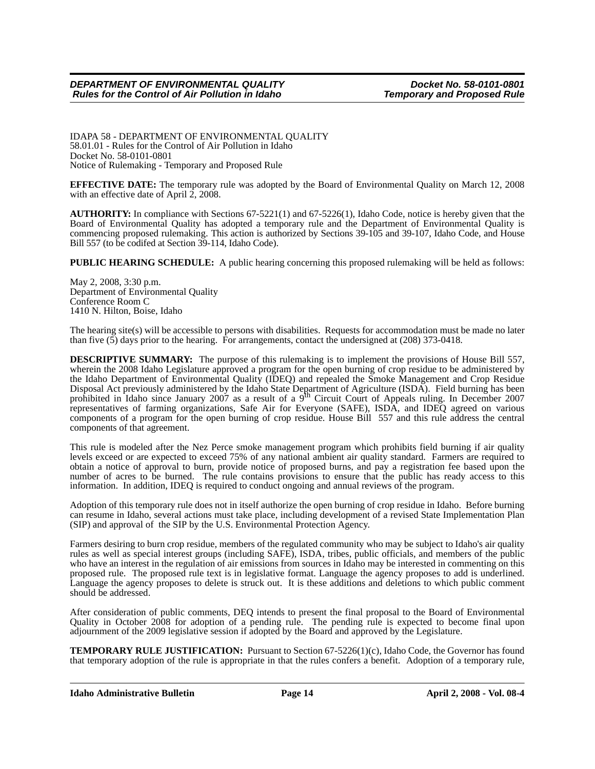IDAPA 58 - DEPARTMENT OF ENVIRONMENTAL QUALITY 58.01.01 - Rules for the Control of Air Pollution in Idaho Docket No. 58-0101-0801 Notice of Rulemaking - Temporary and Proposed Rule

**EFFECTIVE DATE:** The temporary rule was adopted by the Board of Environmental Quality on March 12, 2008 with an effective date of April 2, 2008.

**AUTHORITY:** In compliance with Sections 67-5221(1) and 67-5226(1), Idaho Code, notice is hereby given that the Board of Environmental Quality has adopted a temporary rule and the Department of Environmental Quality is commencing proposed rulemaking. This action is authorized by Sections 39-105 and 39-107, Idaho Code, and House Bill 557 (to be codifed at Section 39-114, Idaho Code).

**PUBLIC HEARING SCHEDULE:** A public hearing concerning this proposed rulemaking will be held as follows:

May 2, 2008, 3:30 p.m. Department of Environmental Quality Conference Room C 1410 N. Hilton, Boise, Idaho

The hearing site(s) will be accessible to persons with disabilities. Requests for accommodation must be made no later than five (5) days prior to the hearing. For arrangements, contact the undersigned at (208) 373-0418.

**DESCRIPTIVE SUMMARY:** The purpose of this rulemaking is to implement the provisions of House Bill 557, wherein the 2008 Idaho Legislature approved a program for the open burning of crop residue to be administered by the Idaho Department of Environmental Quality (IDEQ) and repealed the Smoke Management and Crop Residue Disposal Act previously administered by the Idaho State Department of Agriculture (ISDA). Field burning has been<br>prohibited in Idaho since January 2007 as a result of a 9<sup>th</sup> Circuit Court of Appeals ruling. In December 20 representatives of farming organizations, Safe Air for Everyone (SAFE), ISDA, and IDEQ agreed on various components of a program for the open burning of crop residue. House Bill 557 and this rule address the central components of that agreement.

This rule is modeled after the Nez Perce smoke management program which prohibits field burning if air quality levels exceed or are expected to exceed 75% of any national ambient air quality standard. Farmers are required to obtain a notice of approval to burn, provide notice of proposed burns, and pay a registration fee based upon the number of acres to be burned. The rule contains provisions to ensure that the public has ready access to this information. In addition, IDEQ is required to conduct ongoing and annual reviews of the program.

Adoption of this temporary rule does not in itself authorize the open burning of crop residue in Idaho. Before burning can resume in Idaho, several actions must take place, including development of a revised State Implementation Plan (SIP) and approval of the SIP by the U.S. Environmental Protection Agency.

Farmers desiring to burn crop residue, members of the regulated community who may be subject to Idaho's air quality rules as well as special interest groups (including SAFE), ISDA, tribes, public officials, and members of the public who have an interest in the regulation of air emissions from sources in Idaho may be interested in commenting on this proposed rule. The proposed rule text is in legislative format. Language the agency proposes to add is underlined. Language the agency proposes to delete is struck out. It is these additions and deletions to which public comment should be addressed.

After consideration of public comments, DEQ intends to present the final proposal to the Board of Environmental Quality in October 2008 for adoption of a pending rule. The pending rule is expected to become final upon adjournment of the 2009 legislative session if adopted by the Board and approved by the Legislature.

**TEMPORARY RULE JUSTIFICATION:** Pursuant to Section 67-5226(1)(c), Idaho Code, the Governor has found that temporary adoption of the rule is appropriate in that the rules confers a benefit. Adoption of a temporary rule,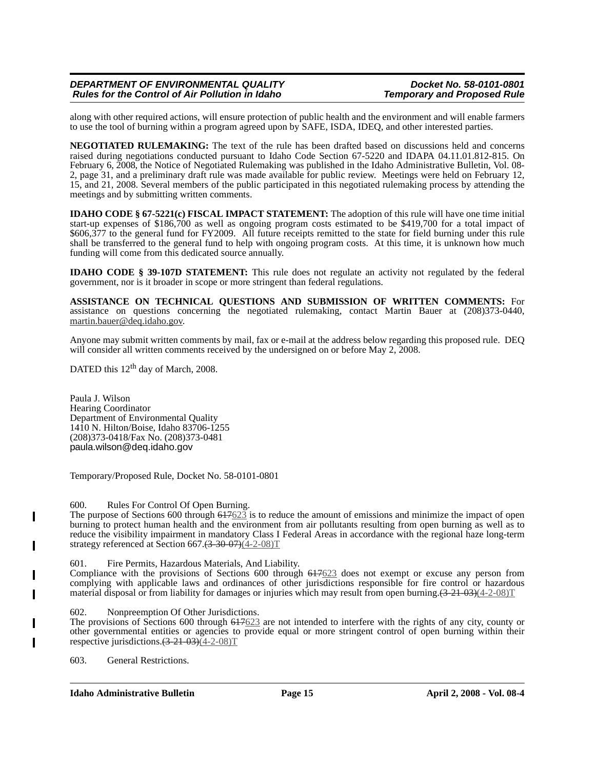# *DEPARTMENT OF ENVIRONMENTAL QUALITY DEPARTMENT OF ENVIRONMENTAL QUALITY Docket No. 58-0101-0801*<br>Rules for the Control of Air Pollution in Idaho *Demporary and Proposed Rule Rules for the Control of Air Pollution in Idaho*

along with other required actions, will ensure protection of public health and the environment and will enable farmers to use the tool of burning within a program agreed upon by SAFE, ISDA, IDEQ, and other interested parties.

**NEGOTIATED RULEMAKING:** The text of the rule has been drafted based on discussions held and concerns raised during negotiations conducted pursuant to Idaho Code Section 67-5220 and IDAPA 04.11.01.812-815. On February 6, 2008, the Notice of Negotiated Rulemaking was published in the Idaho Administrative Bulletin, Vol. 08- 2, page 31, and a preliminary draft rule was made available for public review. Meetings were held on February 12, 15, and 21, 2008. Several members of the public participated in this negotiated rulemaking process by attending the meetings and by submitting written comments.

**IDAHO CODE § 67-5221(c) FISCAL IMPACT STATEMENT:** The adoption of this rule will have one time initial start-up expenses of \$186,700 as well as ongoing program costs estimated to be \$419,700 for a total impact of \$606,377 to the general fund for FY2009. All future receipts remitted to the state for field burning under this rule shall be transferred to the general fund to help with ongoing program costs. At this time, it is unknown how much funding will come from this dedicated source annually.

**IDAHO CODE § 39-107D STATEMENT:** This rule does not regulate an activity not regulated by the federal government, nor is it broader in scope or more stringent than federal regulations.

**ASSISTANCE ON TECHNICAL QUESTIONS AND SUBMISSION OF WRITTEN COMMENTS:** For assistance on questions concerning the negotiated rulemaking, contact Martin Bauer at (208)373-0440, martin.bauer@deq.idaho.gov.

Anyone may submit written comments by mail, fax or e-mail at the address below regarding this proposed rule. DEQ will consider all written comments received by the undersigned on or before May 2, 2008.

DATED this 12<sup>th</sup> day of March, 2008.

Paula J. Wilson Hearing Coordinator Department of Environmental Quality 1410 N. Hilton/Boise, Idaho 83706-1255 (208)373-0418/Fax No. (208)373-0481 paula.wilson@deq.idaho.gov

Temporary/Proposed Rule, Docket No. 58-0101-0801

600. Rules For Control Of Open Burning.

The purpose of Sections 600 through  $617623$  is to reduce the amount of emissions and minimize the impact of open burning to protect human health and the environment from air pollutants resulting from open burning as well as to reduce the visibility impairment in mandatory Class I Federal Areas in accordance with the regional haze long-term strategy referenced at Section  $667 \cdot (3-30-07)(4-2-08)T$ 

601. Fire Permits, Hazardous Materials, And Liability.

Compliance with the provisions of Sections 600 through 617623 does not exempt or excuse any person from complying with applicable laws and ordinances of other jurisdictions responsible for fire control or hazardous material disposal or from liability for damages or injuries which may result from open burning. $(3-21-03)(4-2-08)T$ 

602. Nonpreemption Of Other Jurisdictions.

The provisions of Sections 600 through 617623 are not intended to interfere with the rights of any city, county or other governmental entities or agencies to provide equal or more stringent control of open burning within their respective jurisdictions. $(3-21-03)(4-2-08)T$ 

603. General Restrictions.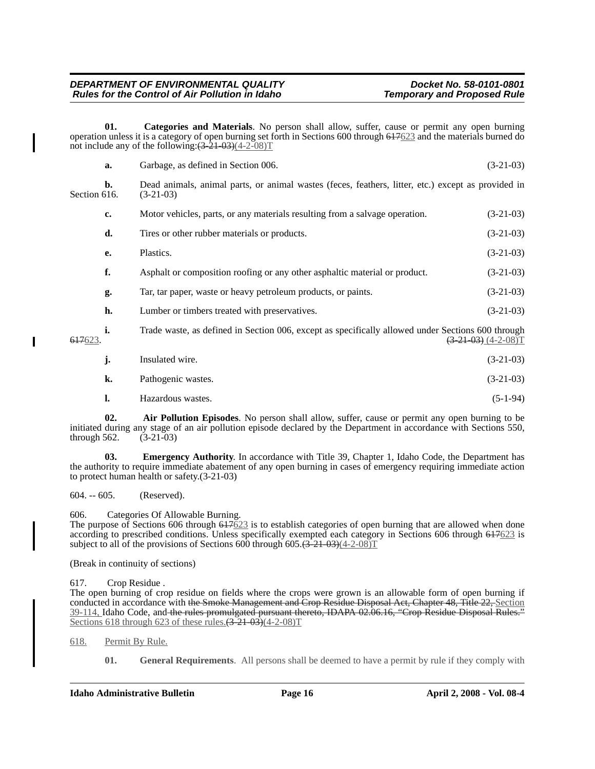**01. Categories and Materials**. No person shall allow, suffer, cause or permit any open burning operation unless it is a category of open burning set forth in Sections 600 through 617623 and the materials burned do not include any of the following: $(\overline{3-21-03})(4-2-08)T$ 

|              | a.             | Garbage, as defined in Section 006.                                                                               | $(3-21-03)$              |  |  |
|--------------|----------------|-------------------------------------------------------------------------------------------------------------------|--------------------------|--|--|
| Section 616. | $\mathbf{b}$ . | Dead animals, animal parts, or animal wastes (feces, feathers, litter, etc.) except as provided in<br>$(3-21-03)$ |                          |  |  |
|              | c.             | Motor vehicles, parts, or any materials resulting from a salvage operation.                                       | $(3-21-03)$              |  |  |
|              | d.             | Tires or other rubber materials or products.                                                                      | $(3-21-03)$              |  |  |
|              | e.             | Plastics.                                                                                                         | $(3-21-03)$              |  |  |
|              | f.             | Asphalt or composition roofing or any other asphaltic material or product.                                        | $(3-21-03)$              |  |  |
|              | g.             | Tar, tar paper, waste or heavy petroleum products, or paints.                                                     | $(3-21-03)$              |  |  |
|              | h.             | Lumber or timbers treated with preservatives.                                                                     | $(3-21-03)$              |  |  |
| 617623.      | i.             | Trade waste, as defined in Section 006, except as specifically allowed under Sections 600 through                 | $(3-21-03)$ $(4-2-08)$ T |  |  |
|              | j.             | Insulated wire.                                                                                                   | $(3-21-03)$              |  |  |
|              | k.             | Pathogenic wastes.                                                                                                | $(3-21-03)$              |  |  |
|              | l.             | Hazardous wastes.                                                                                                 | $(5-1-94)$               |  |  |

**02. Air Pollution Episodes**. No person shall allow, suffer, cause or permit any open burning to be initiated during any stage of an air pollution episode declared by the Department in accordance with Sections 550, through 562. (3-21-03)

**03.** Emergency Authority. In accordance with Title 39, Chapter 1, Idaho Code, the Department has the authority to require immediate abatement of any open burning in cases of emergency requiring immediate action to protect human health or safety.(3-21-03)

604. -- 605. (Reserved).

606. Categories Of Allowable Burning.

The purpose of Sections 606 through  $617623$  is to establish categories of open burning that are allowed when done according to prescribed conditions. Unless specifically exempted each category in Sections 606 through 617623 is subject to all of the provisions of Sections  $600$  through  $605 \cdot (3-21-03)(4-2-08)T$ 

(Break in continuity of sections)

617. Crop Residue .

The open burning of crop residue on fields where the crops were grown is an allowable form of open burning if conducted in accordance with the Smoke Management and Crop Residue Disposal Act, Chapter 48, Title 22, Section 39-114, Idaho Code, and the rules promulgated pursuant thereto, IDAPA 02.06.16, "Crop Residue Disposal Rules." Sections 618 through 623 of these rules. $(3\overline{21\cdot 03})(4-2-08)T$ 

618. Permit By Rule.

**01. General Requirements**. All persons shall be deemed to have a permit by rule if they comply with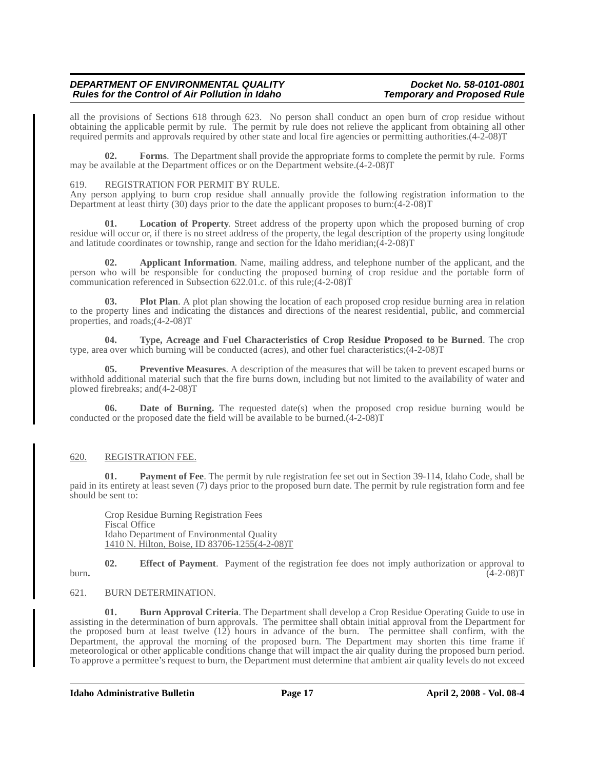# *DEPARTMENT OF ENVIRONMENTAL QUALITY DEPARTMENT OF ENVIRONMENTAL QUALITY Department Docket No. 58-0101-0801*<br>Rules for the Control of Air Pollution in Idaho *Demporary and Proposed Rule Rules for the Control of Air Pollution in Idaho*

all the provisions of Sections 618 through 623. No person shall conduct an open burn of crop residue without obtaining the applicable permit by rule. The permit by rule does not relieve the applicant from obtaining all other required permits and approvals required by other state and local fire agencies or permitting authorities.(4-2-08)T

**02. Forms**. The Department shall provide the appropriate forms to complete the permit by rule. Forms may be available at the Department offices or on the Department website.(4-2-08)T

# 619. REGISTRATION FOR PERMIT BY RULE.

Any person applying to burn crop residue shall annually provide the following registration information to the Department at least thirty (30) days prior to the date the applicant proposes to burn:(4-2-08)T

**01. Location of Property**. Street address of the property upon which the proposed burning of crop residue will occur or, if there is no street address of the property, the legal description of the property using longitude and latitude coordinates or township, range and section for the Idaho meridian;(4-2-08)T

**02. Applicant Information**. Name, mailing address, and telephone number of the applicant, and the person who will be responsible for conducting the proposed burning of crop residue and the portable form of communication referenced in Subsection 622.01.c. of this rule;(4-2-08)T

**03. Plot Plan**. A plot plan showing the location of each proposed crop residue burning area in relation to the property lines and indicating the distances and directions of the nearest residential, public, and commercial properties, and roads;(4-2-08)T

**04. Type, Acreage and Fuel Characteristics of Crop Residue Proposed to be Burned**. The crop type, area over which burning will be conducted (acres), and other fuel characteristics;(4-2-08)T

**05. Preventive Measures**. A description of the measures that will be taken to prevent escaped burns or withhold additional material such that the fire burns down, including but not limited to the availability of water and plowed firebreaks; and(4-2-08)T

**06.** Date of Burning. The requested date(s) when the proposed crop residue burning would be conducted or the proposed date the field will be available to be burned.(4-2-08)T

# 620. REGISTRATION FEE.

**01. Payment of Fee**. The permit by rule registration fee set out in Section 39-114, Idaho Code, shall be paid in its entirety at least seven (7) days prior to the proposed burn date. The permit by rule registration form and fee should be sent to:

Crop Residue Burning Registration Fees Fiscal Office Idaho Department of Environmental Quality 1410 N. Hilton, Boise, ID 83706-1255(4-2-08)T

**02. Effect of Payment**. Payment of the registration fee does not imply authorization or approval to burn**.** (4-2-08)T

# 621. BURN DETERMINATION.

**01. Burn Approval Criteria**. The Department shall develop a Crop Residue Operating Guide to use in assisting in the determination of burn approvals. The permittee shall obtain initial approval from the Department for the proposed burn at least twelve  $(12)$  hours in advance of the burn. The permittee shall confirm, with the Department, the approval the morning of the proposed burn. The Department may shorten this time frame if meteorological or other applicable conditions change that will impact the air quality during the proposed burn period. To approve a permittee's request to burn, the Department must determine that ambient air quality levels do not exceed

**Idaho Administrative Bulletin Page 17 April 2, 2008 - Vol. 08-4**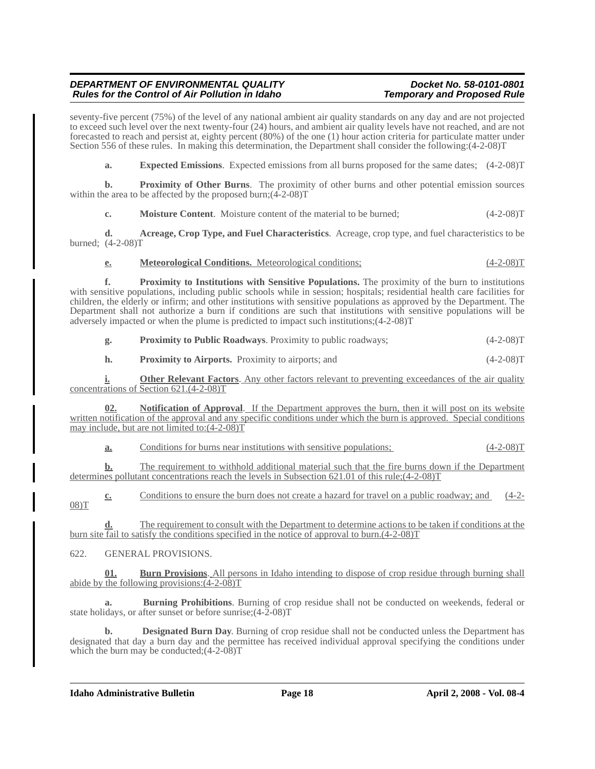# *DEPARTMENT OF ENVIRONMENTAL QUALITY DEPARTMENT OF ENVIRONMENTAL QUALITY Docket No. 58-0101-0801*<br>Rules for the Control of Air Pollution in Idaho *Demporary and Proposed Rule Rules for the Control of Air Pollution in Idaho*

seventy-five percent (75%) of the level of any national ambient air quality standards on any day and are not projected to exceed such level over the next twenty-four (24) hours, and ambient air quality levels have not reached, and are not forecasted to reach and persist at, eighty percent (80%) of the one (1) hour action criteria for particulate matter under Section 556 of these rules. In making this determination, the Department shall consider the following:(4-2-08)T

**a.** Expected Emissions. Expected emissions from all burns proposed for the same dates;  $(4-2-08)T$ 

**b. Proximity of Other Burns**. The proximity of other burns and other potential emission sources within the area to be affected by the proposed burn;  $(4-2-08)$ T

**c.** Moisture Content. Moisture content of the material to be burned;  $(4-2-08)$ T

**d. Acreage, Crop Type, and Fuel Characteristics**. Acreage, crop type, and fuel characteristics to be burned; (4-2-08)T

**e. Meteorological Conditions.** Meteorological conditions; (4-2-08)T

**f. Proximity to Institutions with Sensitive Populations.** The proximity of the burn to institutions with sensitive populations, including public schools while in session; hospitals; residential health care facilities for children, the elderly or infirm; and other institutions with sensitive populations as approved by the Department. The Department shall not authorize a burn if conditions are such that institutions with sensitive populations will be adversely impacted or when the plume is predicted to impact such institutions;(4-2-08)T

**g. Proximity to Public Roadways**. Proximity to public roadways; (4-2-08)T

**h.** Proximity to Airports. Proximity to airports; and  $(4-2-08)T$ 

**i. Other Relevant Factors**. Any other factors relevant to preventing exceedances of the air quality concentrations of Section 621.(4-2-08)T

**Notification of Approval.** If the Department approves the burn, then it will post on its website written notification of the approval and any specific conditions under which the burn is approved. Special conditions may include, but are not limited to:(4-2-08)T

**a.** Conditions for burns near institutions with sensitive populations; (4-2-08)T

**b.** The requirement to withhold additional material such that the fire burns down if the Department determines pollutant concentrations reach the levels in Subsection 621.01 of this rule;(4-2-08)T

**c.** Conditions to ensure the burn does not create a hazard for travel on a public roadway; and (4-2-08)T

**d.** The requirement to consult with the Department to determine actions to be taken if conditions at the burn site fail to satisfy the conditions specified in the notice of approval to burn.(4-2-08)T

622. GENERAL PROVISIONS.

**01. Burn Provisions**. All persons in Idaho intending to dispose of crop residue through burning shall abide by the following provisions: $(4-2-0.8)T$ 

**a. Burning Prohibitions**. Burning of crop residue shall not be conducted on weekends, federal or state holidays, or after sunset or before sunrise;(4-2-08)T

**b. Designated Burn Day**. Burning of crop residue shall not be conducted unless the Department has designated that day a burn day and the permittee has received individual approval specifying the conditions under which the burn may be conducted; $(4-2-0.8)$ T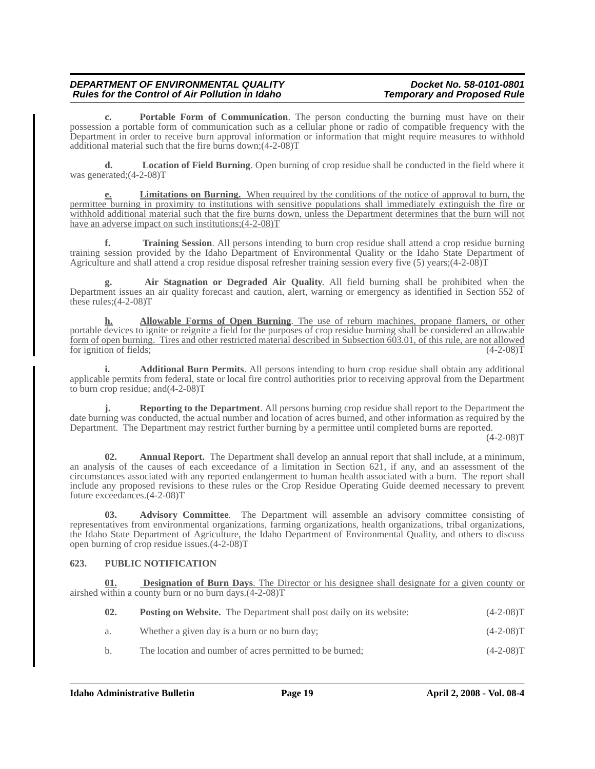# *DEPARTMENT OF ENVIRONMENTAL QUALITY DEPARTMENT OF ENVIRONMENTAL QUALITY Department Docket No. 58-0101-0801*<br>Rules for the Control of Air Pollution in Idaho *Demporary and Proposed Rule Rules for the Control of Air Pollution in Idaho*

**c. Portable Form of Communication**. The person conducting the burning must have on their possession a portable form of communication such as a cellular phone or radio of compatible frequency with the Department in order to receive burn approval information or information that might require measures to withhold additional material such that the fire burns down;(4-2-08)T

**d. Location of Field Burning**. Open burning of crop residue shall be conducted in the field where it was generated;(4-2-08)T

**Limitations on Burning.** When required by the conditions of the notice of approval to burn, the **e.** Limitations on Burning. When required by the conditions of the notice of approval to burn, the permittee burning in proximity to institutions with sensitive populations shall immediately extinguish the fire or withhold additional material such that the fire burns down, unless the Department determines that the burn will not have an adverse impact on such institutions;(4-2-08)T

**Training Session.** All persons intending to burn crop residue shall attend a crop residue burning training session provided by the Idaho Department of Environmental Quality or the Idaho State Department of Agriculture and shall attend a crop residue disposal refresher training session every five (5) years;(4-2-08)T

**g. Air Stagnation or Degraded Air Quality**. All field burning shall be prohibited when the Department issues an air quality forecast and caution, alert, warning or emergency as identified in Section 552 of these rules;(4-2-08)T

**h. Allowable Forms of Open Burning**. The use of reburn machines, propane flamers, or other portable devices to ignite or reignite a field for the purposes of crop residue burning shall be considered an allowable form of open burning. Tires and other restricted material described in Subsection 603.01, of this rule, are not allowed for ignition of fields; (4-2-08)T

**i.** Additional Burn Permits. All persons intending to burn crop residue shall obtain any additional applicable permits from federal, state or local fire control authorities prior to receiving approval from the Department to burn crop residue; and(4-2-08)T

**j. Reporting to the Department**. All persons burning crop residue shall report to the Department the date burning was conducted, the actual number and location of acres burned, and other information as required by the Department. The Department may restrict further burning by a permittee until completed burns are reported.

 $(4-2-08)T$ 

**02. Annual Report.** The Department shall develop an annual report that shall include, at a minimum, an analysis of the causes of each exceedance of a limitation in Section 621, if any, and an assessment of the circumstances associated with any reported endangerment to human health associated with a burn. The report shall include any proposed revisions to these rules or the Crop Residue Operating Guide deemed necessary to prevent future exceedances.(4-2-08)T

**03. Advisory Committee**. The Department will assemble an advisory committee consisting of representatives from environmental organizations, farming organizations, health organizations, tribal organizations, the Idaho State Department of Agriculture, the Idaho Department of Environmental Quality, and others to discuss open burning of crop residue issues.(4-2-08)T

# **623. PUBLIC NOTIFICATION**

**01. Designation of Burn Days**. The Director or his designee shall designate for a given county or airshed within a county burn or no burn days.(4-2-08)T

| 02. | <b>Posting on Website.</b> The Department shall post daily on its website: | $(4-2-08)T$ |
|-----|----------------------------------------------------------------------------|-------------|
| а.  | Whether a given day is a burn or no burn day;                              | $(4-2-08)T$ |
| b.  | The location and number of acres permitted to be burned;                   | $(4-2-08)T$ |